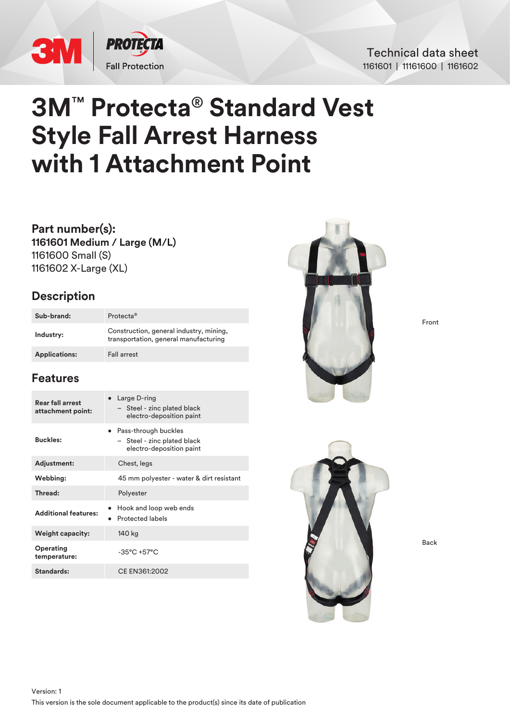

### Technical data sheet 1161601 | 11161600 | 1161602

# **3M**™ **Protecta**® **Standard Vest Style Fall Arrest Harness with 1 Attachment Point**

**Part number(s): 1161601 Medium / Large (M/L)** 1161600 Small (S) 1161602 X-Large (XL)

## **Description**

| Sub-brand:           | Protecta <sup>®</sup>                                                            |
|----------------------|----------------------------------------------------------------------------------|
| Industry:            | Construction, general industry, mining,<br>transportation, general manufacturing |
| <b>Applications:</b> | <b>Fall arrest</b>                                                               |

# **Features**

| Rear fall arrest<br>attachment point: | • Large D-ring<br>- Steel - zinc plated black<br>electro-deposition paint         |
|---------------------------------------|-----------------------------------------------------------------------------------|
| <b>Buckles:</b>                       | • Pass-through buckles<br>- Steel - zinc plated black<br>electro-deposition paint |
| Adjustment:                           | Chest, legs                                                                       |
| Webbing:                              | 45 mm polyester - water & dirt resistant                                          |
| Thread:                               | Polyester                                                                         |
| <b>Additional features:</b>           | Hook and loop web ends<br><b>Protected labels</b>                                 |
| <b>Weight capacity:</b>               | 140 kg                                                                            |
| Operating<br>temperature:             | $-35^{\circ}$ C +57 $^{\circ}$ C                                                  |
| Standards:                            | CE EN361:2002                                                                     |



Front



Back